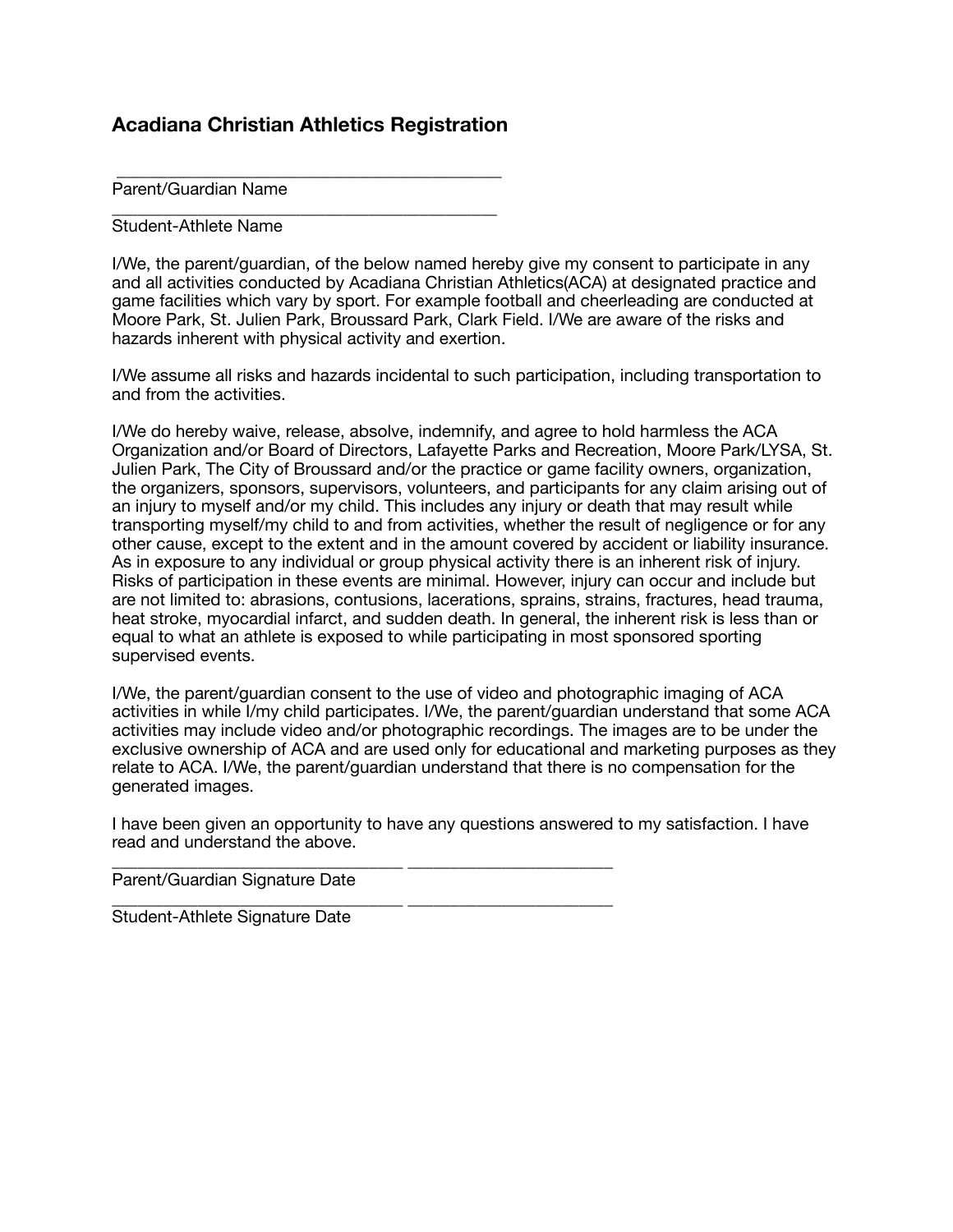## **Acadiana Christian Athletics Registration**

 \_\_\_\_\_\_\_\_\_\_\_\_\_\_\_\_\_\_\_\_\_\_\_\_\_\_\_\_\_\_\_\_\_\_\_\_\_\_\_\_\_\_\_\_\_ Parent/Guardian Name

\_\_\_\_\_\_\_\_\_\_\_\_\_\_\_\_\_\_\_\_\_\_\_\_\_\_\_\_\_\_\_\_\_\_\_\_\_\_\_\_\_\_\_\_\_ Student-Athlete Name

I/We, the parent/guardian, of the below named hereby give my consent to participate in any and all activities conducted by Acadiana Christian Athletics(ACA) at designated practice and game facilities which vary by sport. For example football and cheerleading are conducted at Moore Park, St. Julien Park, Broussard Park, Clark Field. I/We are aware of the risks and hazards inherent with physical activity and exertion.

I/We assume all risks and hazards incidental to such participation, including transportation to and from the activities.

I/We do hereby waive, release, absolve, indemnify, and agree to hold harmless the ACA Organization and/or Board of Directors, Lafayette Parks and Recreation, Moore Park/LYSA, St. Julien Park, The City of Broussard and/or the practice or game facility owners, organization, the organizers, sponsors, supervisors, volunteers, and participants for any claim arising out of an injury to myself and/or my child. This includes any injury or death that may result while transporting myself/my child to and from activities, whether the result of negligence or for any other cause, except to the extent and in the amount covered by accident or liability insurance. As in exposure to any individual or group physical activity there is an inherent risk of injury. Risks of participation in these events are minimal. However, injury can occur and include but are not limited to: abrasions, contusions, lacerations, sprains, strains, fractures, head trauma, heat stroke, myocardial infarct, and sudden death. In general, the inherent risk is less than or equal to what an athlete is exposed to while participating in most sponsored sporting supervised events.

I/We, the parent/guardian consent to the use of video and photographic imaging of ACA activities in while I/my child participates. I/We, the parent/guardian understand that some ACA activities may include video and/or photographic recordings. The images are to be under the exclusive ownership of ACA and are used only for educational and marketing purposes as they relate to ACA. I/We, the parent/guardian understand that there is no compensation for the generated images.

I have been given an opportunity to have any questions answered to my satisfaction. I have read and understand the above.

\_\_\_\_\_\_\_\_\_\_\_\_\_\_\_\_\_\_\_\_\_\_\_\_\_\_\_\_\_\_\_\_\_\_ \_\_\_\_\_\_\_\_\_\_\_\_\_\_\_\_\_\_\_\_\_\_\_\_ Parent/Guardian Signature Date

\_\_\_\_\_\_\_\_\_\_\_\_\_\_\_\_\_\_\_\_\_\_\_\_\_\_\_\_\_\_\_\_\_\_ \_\_\_\_\_\_\_\_\_\_\_\_\_\_\_\_\_\_\_\_\_\_\_\_ Student-Athlete Signature Date